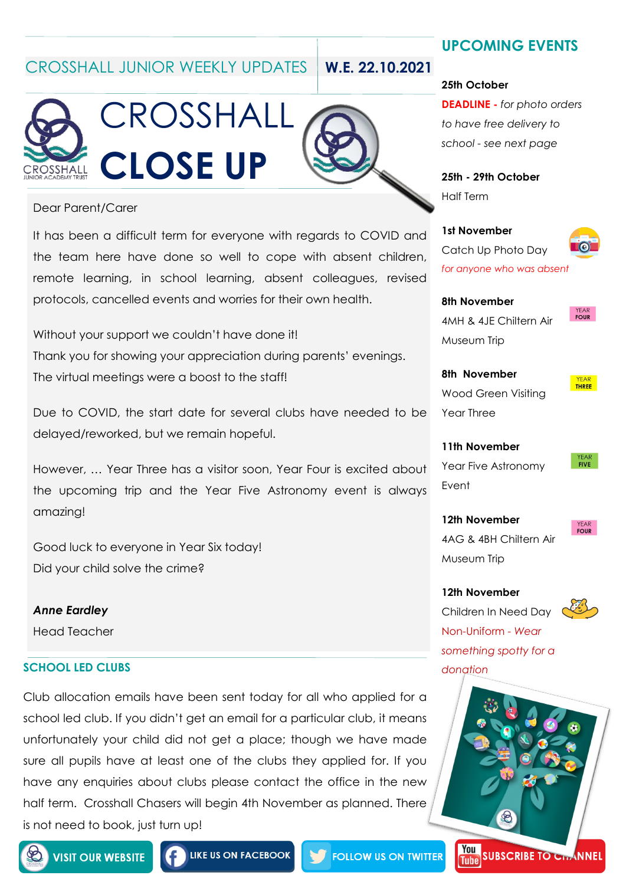CROSSHALL JUNIOR WEEKLY UPDATES **W.E. 22.10.2021**





#### Dear Parent/Carer

It has been a difficult term for everyone with regards to COVID and the team here have done so well to cope with absent children, remote learning, in school learning, absent colleagues, revised protocols, cancelled events and worries for their own health.

Without your support we couldn't have done it! Thank you for showing your appreciation during parents' evenings. The virtual meetings were a boost to the staff!

Due to COVID, the start date for several clubs have needed to be delayed/reworked, but we remain hopeful.

However, … Year Three has a visitor soon, Year Four is excited about the upcoming trip and the Year Five Astronomy event is always amazing!

Good luck to everyone in Year Six today! Did your child solve the crime?

*Anne Eardley* Head Teacher

#### **SCHOOL LED CLUBS** *donation*

Club allocation emails have been sent today for all who applied for a school led club. If you didn't get an email for a particular club, it means unfortunately your child did not get a place; though we have made sure all pupils have at least one of the clubs they applied for. If you have any enquiries about clubs please contact the office in the new half term. Crosshall Chasers will begin 4th November as planned. There is not need to book, just turn up!

### **UPCOMING EVENTS**

#### **25th October**

**DEADLINE -** *for photo orders to have free delivery to school - see next page*

**25th - 29th October** Half Term

**1st November** Catch Up Photo Day *for anyone who was absent* 

**8th November** 4MH & 4JE Chiltern Air Museum Trip

**8th November** Wood Green Visiting Year Three

YFAR THREE

**YEAR**<br>FOUR

**11th November** Year Five Astronomy Event

**YEAR**<br>FIVE

**YFAR** FOUR

**12th November** 4AG & 4BH Chiltern Air Museum Trip

**12th November**

Children In Need Day Non-Uniform - *Wear something spotty for a* 





**LIKE US ON FACEBOOK** 

**FOLLOW US ON TWITTER**